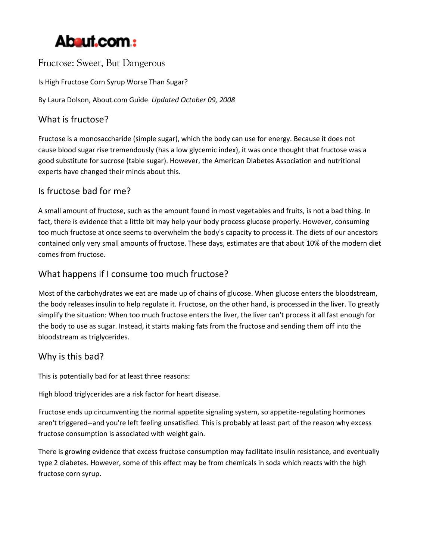

Fructose: Sweet, But Dangerous

Is High Fructose Corn Syrup Worse Than Sugar?

By Laura Dolson, About.com Guide *Updated October 09, 2008*

### What is fructose?

Fructose is a monosaccharide (simple sugar), which the body can use for energy. Because it does not cause blood sugar rise tremendously (has a low glycemic index), it was once thought that fructose was a good substitute for sucrose (table sugar). However, the American Diabetes Association and nutritional experts have changed their minds about this.

## Is fructose bad for me?

A small amount of fructose, such as the amount found in most vegetables and fruits, is not a bad thing. In fact, there is evidence that a little bit may help your body process glucose properly. However, consuming too much fructose at once seems to overwhelm the body's capacity to process it. The diets of our ancestors contained only very small amounts of fructose. These days, estimates are that about 10% of the modern diet comes from fructose.

## What happens if I consume too much fructose?

Most of the carbohydrates we eat are made up of chains of glucose. When glucose enters the bloodstream, the body releases insulin to help regulate it. Fructose, on the other hand, is processed in the liver. To greatly simplify the situation: When too much fructose enters the liver, the liver can't process it all fast enough for the body to use as sugar. Instead, it starts making fats from the fructose and sending them off into the bloodstream as triglycerides.

#### Why is this bad?

This is potentially bad for at least three reasons:

High blood triglycerides are a risk factor for heart disease.

Fructose ends up circumventing the normal appetite signaling system, so appetite-regulating hormones aren't triggered--and you're left feeling unsatisfied. This is probably at least part of the reason why excess fructose consumption is associated with weight gain.

There is growing evidence that excess fructose consumption may facilitate insulin resistance, and eventually type 2 diabetes. However, some of this effect may be from chemicals in soda which reacts with the high fructose corn syrup.